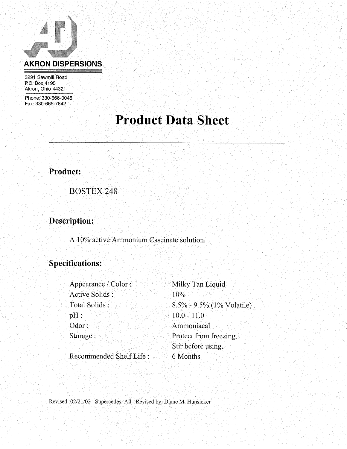

3291 Sawmill Road P.O. Box 4195 Akron, Ohio 44321

Phone: 330-666-0045 Fax: 330-666-7842

# **Product Data Sheet**

Product:

**BOSTEX 248** 

Description:

A 10% active Ammonium Caseinate solution.

### **Specifications:**

| Appearance / Color:     | Milky Tan Liquid             |
|-------------------------|------------------------------|
| Active Solids :         | 10%                          |
| Total Solids:           | $8.5\%$ - 9.5% (1% Volatile) |
| $pH$ :                  | $10.0 - 11.0$                |
| Odor:                   | Ammoniacal                   |
| Storage:                | Protect from freezing.       |
|                         | Stir before using.           |
| Recommended Shelf Life: | 6 Months                     |

Revised: 02/21/02 Supercedes: All Revised by: Diane M. Hunsicker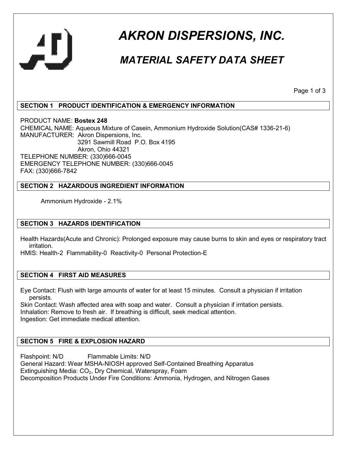

# *AKRON DISPERSIONS, INC.*

### *MATERIAL SAFETY DATA SHEET*

Page 1 of 3

#### **SECTION 1 PRODUCT IDENTIFICATION & EMERGENCY INFORMATION**

PRODUCT NAME: **Bostex 248** CHEMICAL NAME: Aqueous Mixture of Casein, Ammonium Hydroxide Solution(CAS# 1336-21-6) MANUFACTURER: Akron Dispersions, Inc. 3291 Sawmill Road P.O. Box 4195 Akron, Ohio 44321 TELEPHONE NUMBER: (330)666-0045 EMERGENCY TELEPHONE NUMBER: (330)666-0045 FAX: (330)666-7842

#### **SECTION 2 HAZARDOUS INGREDIENT INFORMATION**

Ammonium Hydroxide - 2.1%

#### **SECTION 3 HAZARDS IDENTIFICATION**

Health Hazards(Acute and Chronic): Prolonged exposure may cause burns to skin and eyes or respiratory tract irritation.

HMIS: Health-2 Flammability-0 Reactivity-0 Personal Protection-E

#### **SECTION 4 FIRST AID MEASURES**

Eye Contact: Flush with large amounts of water for at least 15 minutes. Consult a physician if irritation persists.

Skin Contact: Wash affected area with soap and water. Consult a physician if irritation persists. Inhalation: Remove to fresh air. If breathing is difficult, seek medical attention. Ingestion: Get immediate medical attention.

#### **SECTION 5 FIRE & EXPLOSION HAZARD**

Flashpoint: N/D Flammable Limits: N/D General Hazard: Wear MSHA-NIOSH approved Self-Contained Breathing Apparatus Extinguishing Media: CO<sub>2</sub>, Dry Chemical, Waterspray, Foam Decomposition Products Under Fire Conditions: Ammonia, Hydrogen, and Nitrogen Gases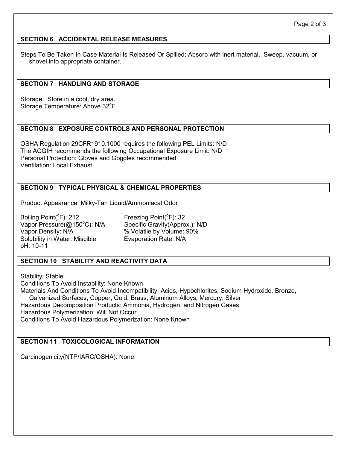#### **SECTION 6 ACCIDENTAL RELEASE MEASURES**

Steps To Be Taken In Case Material Is Released Or Spilled: Absorb with inert material. Sweep, vacuum, or shovel into appropriate container.

#### **SECTION 7 HANDLING AND STORAGE**

Storage: Store in a cool, dry area. Storage Temperature: Above 32°F

#### **SECTION 8 EXPOSURE CONTROLS AND PERSONAL PROTECTION**

OSHA Regulation 29CFR1910.1000 requires the following PEL Limits: N/D The ACGIH recommends the following Occupational Exposure Limit: N/D Personal Protection: Gloves and Goggles recommended Ventilation: Local Exhaust

#### **SECTION 9 TYPICAL PHYSICAL & CHEMICAL PROPERTIES**

Product Appearance: Milky-Tan Liquid/Ammoniacal Odor

Boiling Point( ${}^{\circ}$ F): 212 Freezing Point( ${}^{\circ}$ F): 32 Vapor Density: N/A  $\%$  Volatile by Volume: 90% Solubility in Water: Miscible Evaporation Rate: N/A pH: 10-11

Vapor Pressure(@150°C): N/A Specific Gravity(Approx.): N/D

#### **SECTION 10 STABILITY AND REACTIVITY DATA**

Stability: Stable Conditions To Avoid Instability: None Known Materials And Conditions To Avoid Incompatibility: Acids, Hypochlorites, Sodium Hydroxide, Bronze, Galvanized Surfaces, Copper, Gold, Brass, Aluminum Alloys, Mercury, Silver Hazardous Decomposition Products: Ammonia, Hydrogen, and Nitrogen Gases Hazardous Polymerization: Will Not Occur Conditions To Avoid Hazardous Polymerization: None Known

#### **SECTION 11 TOXICOLOGICAL INFORMATION**

Carcinogenicity(NTP/IARC/OSHA): None.